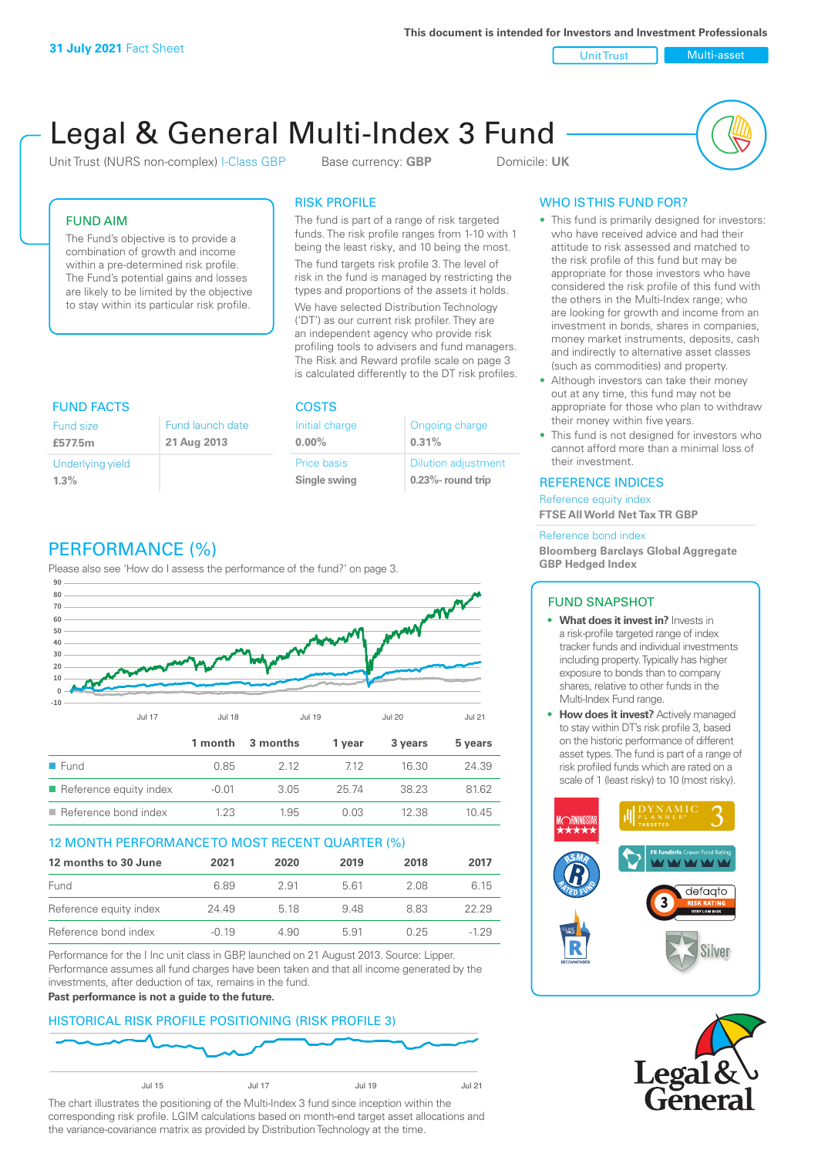Unit Trust Nulti-asset

# Legal & General Multi-Index 3 Fund

Unit Trust (NURS non-complex) I-Class GBP Base currency: **GBP** Domicile: UK



### FUND AIM

The Fund's objective is to provide a combination of growth and income within a pre-determined risk profile. The Fund's potential gains and losses are likely to be limited by the objective to stay within its particular risk profile.

### RISK PROFILE

The fund is part of a range of risk targeted funds. The risk profile ranges from 1-10 with 1 being the least risky, and 10 being the most.

The fund targets risk profile 3. The level of risk in the fund is managed by restricting the types and proportions of the assets it holds. We have selected Distribution Technology ('DT') as our current risk profiler. They are an independent agency who provide risk profiling tools to advisers and fund managers. The Risk and Reward profile scale on page 3 is calculated differently to the DT risk profiles.

| <b>FUND FACTS</b> |                  | <b>COSTS</b>   |                            |  |
|-------------------|------------------|----------------|----------------------------|--|
| Fund size         | Fund launch date | Initial charge | Ongoing charge             |  |
| £577.5m           | 21 Aug 2013      | $0.00\%$       | 0.31%                      |  |
| Underlying yield  |                  | Price basis    | <b>Dilution adjustment</b> |  |
| 1.3%              |                  | Single swing   | $0.23\%$ - round trip      |  |

# PERFORMANCE (%)

Please also see 'How do I assess the performance of the fund?' on page 3.



### 12 MONTH PERFORMANCE TO MOST RECENT QUARTER (%)

| 12 months to 30 June   | 2021    | 2020 | 2019 | 2018 | 2017   |
|------------------------|---------|------|------|------|--------|
| Fund                   | 6.89    | 291  | 5.61 | 2.08 | 6.15   |
| Reference equity index | 24.49   | 5 18 | 948  | 883  | 22.29  |
| Reference bond index   | $-0.19$ | 4.90 | 5.91 | በ 25 | $-129$ |

Performance for the I Inc unit class in GBP, launched on 21 August 2013. Source: Lipper. Performance assumes all fund charges have been taken and that all income generated by the investments, after deduction of tax, remains in the fund.

#### **Past performance is not a guide to the future.**

### HISTORICAL RISK PROFILE POSITIONING (RISK PROFILE 3)



The chart illustrates the positioning of the Multi-Index 3 fund since inception within the corresponding risk profile. LGIM calculations based on month-end target asset allocations and the variance-covariance matrix as provided by Distribution Technology at the time.

### WHO IS THIS FUND FOR?

- This fund is primarily designed for investors: who have received advice and had their attitude to risk assessed and matched to the risk profile of this fund but may be appropriate for those investors who have considered the risk profile of this fund with the others in the Multi-Index range; who are looking for growth and income from an investment in bonds, shares in companies, money market instruments, deposits, cash and indirectly to alternative asset classes (such as commodities) and property.
- Although investors can take their money out at any time, this fund may not be appropriate for those who plan to withdraw their money within five years.
- This fund is not designed for investors who cannot afford more than a minimal loss of their investment.

### REFERENCE INDICES

Reference equity index **FTSE All World Net Tax TR GBP**

#### Reference bond index

**Bloomberg Barclays Global Aggregate GBP Hedged Index**

### FUND SNAPSHOT

- **• What does it invest in?** Invests in a risk-profile targeted range of index tracker funds and individual investments including property. Typically has higher exposure to bonds than to company shares, relative to other funds in the Multi-Index Fund range.
- **• How does it invest?** Actively managed to stay within DT's risk profile 3, based on the historic performance of different asset types. The fund is part of a range of risk profiled funds which are rated on a scale of 1 (least risky) to 10 (most risky).



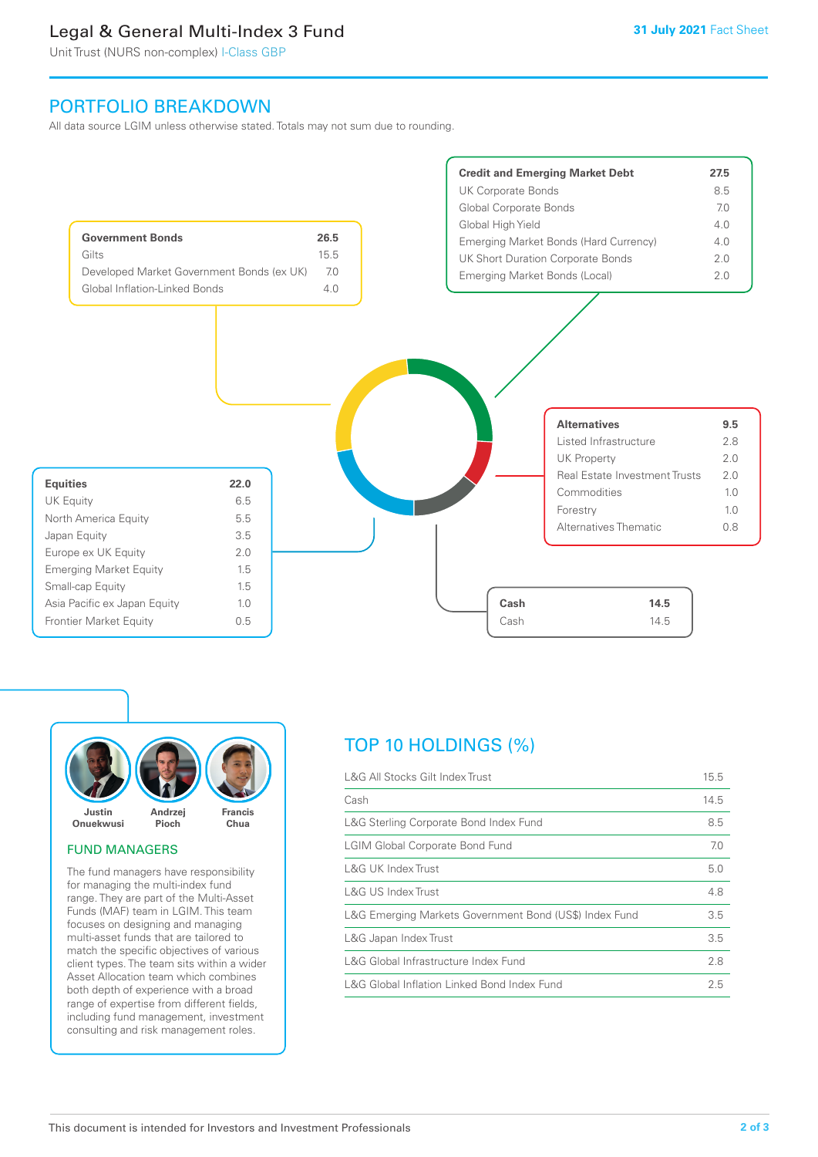## Legal & General Multi-Index 3 Fund

Unit Trust (NURS non-complex) I-Class GBP

### PORTFOLIO BREAKDOWN

All data source LGIM unless otherwise stated. Totals may not sum due to rounding.





### FUND MANAGERS

The fund managers have responsibility for managing the multi-index fund range. They are part of the Multi-Asset Funds (MAF) team in LGIM. This team focuses on designing and managing multi-asset funds that are tailored to match the specific objectives of various client types. The team sits within a wider Asset Allocation team which combines both depth of experience with a broad range of expertise from different fields, including fund management, investment consulting and risk management roles.

# TOP 10 HOLDINGS (%)

| L&G All Stocks Gilt Index Trust                        | 15.5 |
|--------------------------------------------------------|------|
| Cash                                                   | 14.5 |
| L&G Sterling Corporate Bond Index Fund                 | 8.5  |
| <b>LGIM Global Corporate Bond Fund</b>                 | 7.0  |
| L&G UK Index Trust                                     | 5.0  |
| L&G US Index Trust                                     | 4.8  |
| L&G Emerging Markets Government Bond (US\$) Index Fund | 3.5  |
| L&G Japan Index Trust                                  | 3.5  |
| L&G Global Infrastructure Index Fund                   | 2.8  |
| L&G Global Inflation Linked Bond Index Fund            | 2.5  |